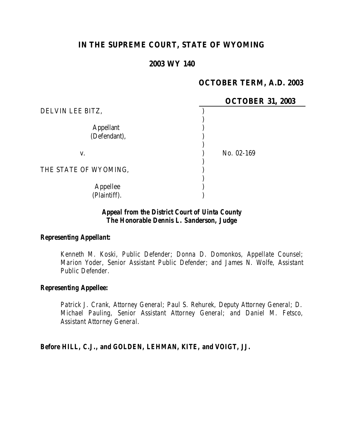# **IN THE SUPREME COURT, STATE OF WYOMING**

### **2003 WY 140**

## **OCTOBER TERM, A.D. 2003**

|                       | <b>OCTOBER 31, 2003</b> |
|-----------------------|-------------------------|
| DELVIN LEE BITZ,      |                         |
|                       |                         |
| <b>Appellant</b>      |                         |
| (Defendant),          |                         |
|                       |                         |
| V.                    | No. 02-169              |
|                       |                         |
| THE STATE OF WYOMING, |                         |
|                       |                         |
| Appellee              |                         |
| (Plaintiff).          |                         |

### *Appeal from the District Court of Uinta County The Honorable Dennis L. Sanderson, Judge*

#### *Representing Appellant:*

*Kenneth M. Koski, Public Defender; Donna D. Domonkos, Appellate Counsel; Marion Yoder, Senior Assistant Public Defender; and James N. Wolfe, Assistant Public Defender.*

#### *Representing Appellee:*

*Patrick J. Crank, Attorney General; Paul S. Rehurek, Deputy Attorney General; D. Michael Pauling, Senior Assistant Attorney General; and Daniel M. Fetsco, Assistant Attorney General.*

*Before HILL, C.J., and GOLDEN, LEHMAN, KITE, and VOIGT, JJ.*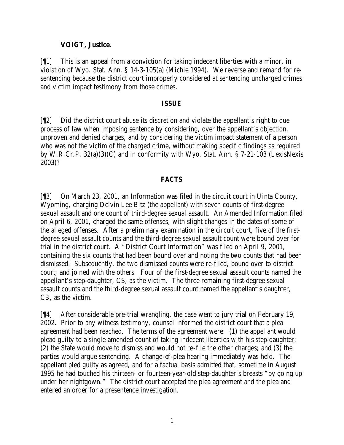### **VOIGT, Justice.**

[¶1] This is an appeal from a conviction for taking indecent liberties with a minor, in violation of Wyo. Stat. Ann. § 14-3-105(a) (Michie 1994). We reverse and remand for resentencing because the district court improperly considered at sentencing uncharged crimes and victim impact testimony from those crimes.

#### *ISSUE*

[¶2] Did the district court abuse its discretion and violate the appellant's right to due process of law when imposing sentence by considering, over the appellant's objection, unproven and denied charges, and by considering the victim impact statement of a person who was not the victim of the charged crime, without making specific findings as required by W.R.Cr.P. 32(a)(3)(C) and in conformity with Wyo. Stat. Ann. § 7-21-103 (LexisNexis 2003)?

### *FACTS*

[¶3] On March 23, 2001, an Information was filed in the circuit court in Uinta County, Wyoming, charging Delvin Lee Bitz (the appellant) with seven counts of first-degree sexual assault and one count of third-degree sexual assault. An Amended Information filed on April 6, 2001, charged the same offenses, with slight changes in the dates of some of the alleged offenses. After a preliminary examination in the circuit court, five of the firstdegree sexual assault counts and the third-degree sexual assault count were bound over for trial in the district court. A "District Court Information" was filed on April 9, 2001, containing the six counts that had been bound over and noting the two counts that had been dismissed. Subsequently, the two dismissed counts were re-filed, bound over to district court, and joined with the others. Four of the first-degree sexual assault counts named the appellant's step-daughter, CS, as the victim. The three remaining first-degree sexual assault counts and the third-degree sexual assault count named the appellant's daughter, CB, as the victim.

[¶4] After considerable pre-trial wrangling, the case went to jury trial on February 19, 2002. Prior to any witness testimony, counsel informed the district court that a plea agreement had been reached. The terms of the agreement were: (1) the appellant would plead guilty to a single amended count of taking indecent liberties with his step-daughter; (2) the State would move to dismiss and would not re-file the other charges; and (3) the parties would argue sentencing. A change-of-plea hearing immediately was held. The appellant pled guilty as agreed, and for a factual basis admitted that, sometime in August 1995 he had touched his thirteen- or fourteen-year-old step-daughter's breasts "by going up under her nightgown." The district court accepted the plea agreement and the plea and entered an order for a presentence investigation.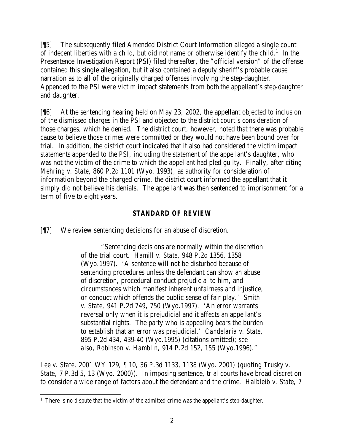[¶5] The subsequently filed Amended District Court Information alleged a single count of indecent liberties with a child, but did not name or otherwise identify the child.<sup>1</sup> In the Presentence Investigation Report (PSI) filed thereafter, the "official version" of the offense contained this single allegation, but it also contained a deputy sheriff's probable cause narration as to all of the originally charged offenses involving the step-daughter. Appended to the PSI were victim impact statements from both the appellant's step-daughter and daughter.

[¶6] At the sentencing hearing held on May 23, 2002, the appellant objected to inclusion of the dismissed charges in the PSI and objected to the district court's consideration of those charges, which he denied. The district court, however, noted that there was probable cause to believe those crimes were committed or they would not have been bound over for trial. In addition, the district court indicated that it also had considered the victim impact statements appended to the PSI, including the statement of the appellant's daughter, who was not the victim of the crime to which the appellant had pled guilty. Finally, after citing *Mehring v. State,* 860 P.2d 1101 (Wyo. 1993), as authority for consideration of information beyond the charged crime, the district court informed the appellant that it simply did not believe his denials. The appellant was then sentenced to imprisonment for a term of five to eight years.

## *STANDARD OF REVIEW*

[¶7] We review sentencing decisions for an abuse of discretion.

"Sentencing decisions are normally within the discretion of the trial court. *Hamill v. State,* 948 P.2d 1356, 1358 (Wyo.1997). 'A sentence will not be disturbed because of sentencing procedures unless the defendant can show an abuse of discretion, procedural conduct prejudicial to him, and circumstances which manifest inherent unfairness and injustice, or conduct which offends the public sense of fair play.' *Smith v. State,* 941 P.2d 749, 750 (Wyo.1997). 'An error warrants reversal only when it is prejudicial and it affects an appellant's substantial rights. The party who is appealing bears the burden to establish that an error was prejudicial.' *Candelaria v. State,*  895 P.2d 434, 439-40 (Wyo.1995) (citations omitted); *see also, Robinson v. Hamblin,* 914 P.2d 152, 155 (Wyo.1996)."

*Lee v. State,* 2001 WY 129, ¶ 10, 36 P.3d 1133, 1138 (Wyo. 2001) (*quoting Trusky v. State,* 7 P.3d 5, 13 (Wyo. 2000)). In imposing sentence, trial courts have broad discretion to consider a wide range of factors about the defendant and the crime. *Halbleib v. State,* 7

 <sup>1</sup> There is no dispute that the victim of the admitted crime was the appellant's step-daughter.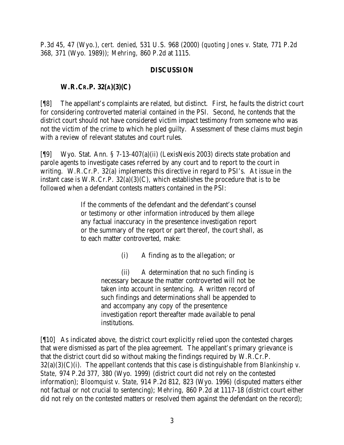P.3d 45, 47 (Wyo.), *cert. denied*, 531 U.S. 968 (2000) (*quoting Jones v. State*, 771 P.2d 368, 371 (Wyo. 1989)); *Mehring,* 860 P.2d at 1115.

## **DISCUSSION**

# **W.R.CR.P. 32(A)(3)(C)**

[¶8] The appellant's complaints are related, but distinct. First, he faults the district court for considering controverted material contained in the PSI. Second, he contends that the district court should not have considered victim impact testimony from someone who was not the victim of the crime to which he pled guilty. Assessment of these claims must begin with a review of relevant statutes and court rules.

[¶9] Wyo. Stat. Ann. § 7-13-407(a)(ii) (LexisNexis 2003) directs state probation and parole agents to investigate cases referred by any court and to report to the court in writing. W.R.Cr.P. 32(a) implements this directive in regard to PSI's. At issue in the instant case is W.R.Cr.P. 32(a)(3)(C), which establishes the procedure that is to be followed when a defendant contests matters contained in the PSI:

> If the comments of the defendant and the defendant's counsel or testimony or other information introduced by them allege any factual inaccuracy in the presentence investigation report or the summary of the report or part thereof, the court shall, as to each matter controverted, make:

> > (i) A finding as to the allegation; or

(ii) A determination that no such finding is necessary because the matter controverted will not be taken into account in sentencing. A written record of such findings and determinations shall be appended to and accompany any copy of the presentence investigation report thereafter made available to penal institutions.

[¶10] As indicated above, the district court explicitly relied upon the contested charges that were dismissed as part of the plea agreement. The appellant's primary grievance is that the district court did so without making the findings required by W.R.Cr.P. 32(a)(3)(C)(i). The appellant contends that this case is distinguishable from *Blankinship v. State,* 974 P.2d 377, 380 (Wyo. 1999) (district court did not rely on the contested information); *Bloomquist v. State,* 914 P.2d 812, 823 (Wyo. 1996) (disputed matters either not factual or not crucial to sentencing); *Mehring,* 860 P.2d at 1117-18 (district court either did not rely on the contested matters or resolved them against the defendant on the record);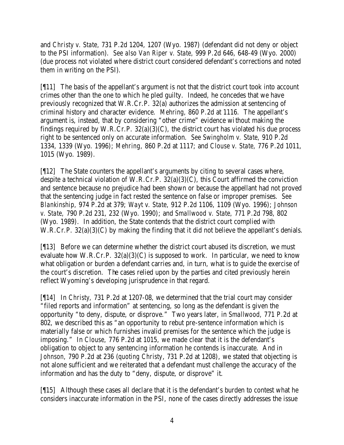and *Christy v. State,* 731 P.2d 1204, 1207 (Wyo. 1987) (defendant did not deny or object to the PSI information). *See also Van Riper v. State,* 999 P.2d 646, 648-49 (Wyo. 2000) (due process not violated where district court considered defendant's corrections and noted them in writing on the PSI).

[¶11] The basis of the appellant's argument is not that the district court took into account crimes other than the one to which he pled guilty. Indeed, he concedes that we have previously recognized that W.R.Cr.P. 32(a) authorizes the admission at sentencing of criminal history and character evidence. *Mehring,* 860 P.2d at 1116. The appellant's argument is, instead, that by considering "other crime" evidence without making the findings required by W.R.Cr.P.  $32(a)(3)(C)$ , the district court has violated his due process right to be sentenced only on accurate information. *See Swingholm v. State,* 910 P.2d 1334, 1339 (Wyo. 1996); *Mehring,* 860 P.2d at 1117; and *Clouse v. State,* 776 P.2d 1011, 1015 (Wyo. 1989).

[¶12] The State counters the appellant's arguments by citing to several cases where, despite a technical violation of W.R.Cr.P. 32(a)(3)(C), this Court affirmed the conviction and sentence because no prejudice had been shown or because the appellant had not proved that the sentencing judge in fact rested the sentence on false or improper premises. *See Blankinship,* 974 P.2d at 379; *Wayt v. State,* 912 P.2d 1106, 1109 (Wyo. 1996); *Johnson v. State,* 790 P.2d 231, 232 (Wyo. 1990); and *Smallwood v. State,* 771 P.2d 798, 802 (Wyo. 1989). In addition, the State contends that the district court complied with W.R.Cr.P. 32(a)(3)(C) by making the finding that it did not believe the appellant's denials.

[¶13] Before we can determine whether the district court abused its discretion, we must evaluate how W.R.Cr.P.  $32(a)(3)(C)$  is supposed to work. In particular, we need to know what obligation or burden a defendant carries and, in turn, what is to guide the exercise of the court's discretion. The cases relied upon by the parties and cited previously herein reflect Wyoming's developing jurisprudence in that regard.

[¶14] In *Christy,* 731 P.2d at 1207-08, we determined that the trial court may consider "filed reports and information" at sentencing, so long as the defendant is given the opportunity "to deny, dispute, or disprove." Two years later, in *Smallwood,* 771 P.2d at 802, we described this as "an opportunity to rebut pre-sentence information which is materially false or which furnishes invalid premises for the sentence which the judge is imposing." In *Clouse,* 776 P.2d at 1015, we made clear that it is the defendant's obligation to object to any sentencing information he contends is inaccurate. And in *Johnson,* 790 P.2d at 236 (*quoting Christy*, 731 P.2d at 1208), we stated that objecting is not alone sufficient and we reiterated that a defendant must challenge the accuracy of the information and has the duty to "deny, dispute, or disprove" it.

[¶15] Although these cases all declare that it is the defendant's burden to contest what he considers inaccurate information in the PSI, none of the cases directly addresses the issue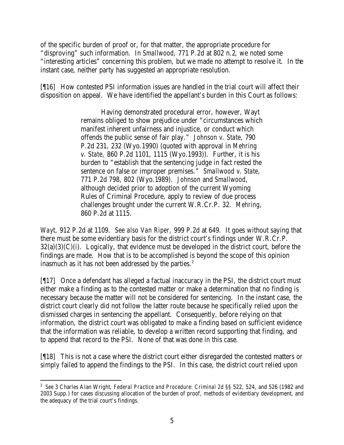of the specific burden of proof or, for that matter, the appropriate procedure for "disproving" such information. In *Smallwood,* 771 P.2d at 802 n.2, we noted some "interesting articles" concerning this problem, but we made no attempt to resolve it. In the instant case, neither party has suggested an appropriate resolution.

[¶16] How contested PSI information issues are handled in the trial court will affect their disposition on appeal. We have identified the appellant's burden in this Court as follows:

> Having demonstrated procedural error, however, Wayt remains obliged to show prejudice under "circumstances which manifest inherent unfairness and injustice, or conduct which offends the public sense of fair play." *Johnson v. State,* 790 P.2d 231, 232 (Wyo.1990) (quoted with approval in *Mehring v. State,* 860 P.2d 1101, 1115 (Wyo.1993)). Further, it is his burden to "establish that the sentencing judge in fact rested the sentence on false or improper premises." *Smallwood v. State,*  771 P.2d 798, 802 (Wyo.1989). *Johnson* and *Smallwood*, although decided prior to adoption of the current Wyoming Rules of Criminal Procedure, apply to review of due process challenges brought under the current W.R.Cr.P. 32. *Mehring,*  860 P.2d at 1115.

*Wayt,* 912 P.2d at 1109. *See also Van Riper,* 999 P.2d at 649. It goes without saying that there must be some evidentiary basis for the district court's findings under W.R.Cr.P.  $32(a)(3)(C)(i)$ . Logically, that evidence must be developed in the district court, before the findings are made. How that is to be accomplished is beyond the scope of this opinion inasmuch as it has not been addressed by the parties.<sup>2</sup>

[¶17] Once a defendant has alleged a factual inaccuracy in the PSI, the district court must either make a finding as to the contested matter or make a determination that no finding is necessary because the matter will not be considered for sentencing. In the instant case, the district court clearly did not follow the latter route because he specifically relied upon the dismissed charges in sentencing the appellant. Consequently, before relying on that information, the district court was obligated to make a finding based on sufficient evidence that the information was reliable, to develop a written record supporting that finding, and to append that record to the PSI. None of that was done in this case.

[¶18] This is not a case where the district court either disregarded the contested matters or simply failed to append the findings to the PSI. In this case, the district court relied upon

<sup>2</sup> *See* 3 Charles Alan Wright, *Federal Practice and Procedure: Criminal 2d* §§ 522, 524, and 526 (1982 and 2003 Supp.) for cases discussing allocation of the burden of proof, methods of evidentiary development, and the adequacy of the trial court's findings.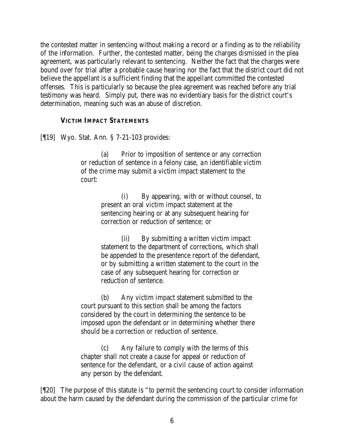the contested matter in sentencing without making a record or a finding as to the reliability of the information. Further, the contested matter, being the charges dismissed in the plea agreement, was particularly relevant to sentencing. Neither the fact that the charges were bound over for trial after a probable cause hearing nor the fact that the district court did not believe the appellant is a sufficient finding that the appellant committed the contested offenses. This is particularly so because the plea agreement was reached before any trial testimony was heard. Simply put, there was no evidentiary basis for the district court's determination, meaning such was an abuse of discretion.

#### **VICTIM IMPACT STATEMENTS**

[¶19] Wyo. Stat. Ann. § 7-21-103 provides:

(a) Prior to imposition of sentence or any correction or reduction of sentence in a felony case, an identifiable victim of the crime may submit a victim impact statement to the court:

> (i) By appearing, with or without counsel, to present an oral victim impact statement at the sentencing hearing or at any subsequent hearing for correction or reduction of sentence; or

> (ii) By submitting a written victim impact statement to the department of corrections, which shall be appended to the presentence report of the defendant, or by submitting a written statement to the court in the case of any subsequent hearing for correction or reduction of sentence.

(b) Any victim impact statement submitted to the court pursuant to this section shall be among the factors considered by the court in determining the sentence to be imposed upon the defendant or in determining whether there should be a correction or reduction of sentence.

(c) Any failure to comply with the terms of this chapter shall not create a cause for appeal or reduction of sentence for the defendant, or a civil cause of action against any person by the defendant.

[¶20] The purpose of this statute is "to permit the sentencing court to consider information about the harm caused by the defendant during the commission of the particular crime for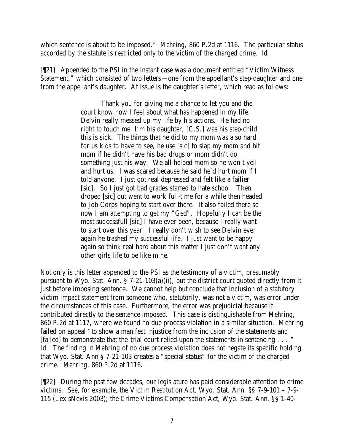which sentence is about to be imposed." *Mehring,* 860 P.2d at 1116. The particular status accorded by the statute is restricted only to the victim of the charged crime. *Id.*

[¶21] Appended to the PSI in the instant case was a document entitled "Victim Witness Statement," which consisted of two letters—one from the appellant's step-daughter and one from the appellant's daughter. At issue is the daughter's letter, which read as follows:

> Thank you for giving me a chance to let you and the court know how I feel about what has happened in my life. Delvin really messed up my life by his actions. He had no right to touch me, I'm his daughter, [C.S.] was his step-child, this is sick. The things that he did to my mom was also hard for us kids to have to see, he use [sic] to slap my mom and hit mom if he didn't have his bad drugs or mom didn't do something just his way. We all helped mom so he won't yell and hurt us. I was scared because he said he'd hurt mom if I told anyone. I just got real depressed and felt like a failier [sic]. So I just got bad grades started to hate school. Then droped [sic] out went to work full-time for a while then headed to Job Corps hoping to start over there. It also failed there so now I am attempting to get my "Ged". Hopefully I can be the most successfull [sic] I have ever been, because I really want to start over this year. I really don't wish to see Delvin ever again he trashed my successful life. I just want to be happy again so think real hard about this matter I just don't want any other girls life to be like mine.

Not only is this letter appended to the PSI as the testimony of a victim, presumably pursuant to Wyo. Stat. Ann. § 7-21-103(a)(ii), but the district court quoted directly from it just before imposing sentence. We cannot help but conclude that inclusion of a statutory victim impact statement from someone who, statutorily, was not a victim, was error under the circumstances of this case. Furthermore, the error was prejudicial because it contributed directly to the sentence imposed. This case is distinguishable from *Mehring*, 860 P.2d at 1117, where we found no due process violation in a similar situation. Mehring failed on appeal "to show a manifest injustice from the inclusion of the statements and [failed] to demonstrate that the trial court relied upon the statements in sentencing . . .." *Id.* The finding in *Mehring* of no due process violation does not negate its specific holding that Wyo. Stat. Ann § 7-21-103 creates a "special status" for the victim of the charged crime. *Mehring*, 860 P.2d at 1116*.*

[¶22] During the past few decades, our legislature has paid considerable attention to crime victims. *See, for example,* the Victim Restitution Act, Wyo. Stat. Ann. §§ 7-9-101 – 7-9- 115 (LexisNexis 2003); the Crime Victims Compensation Act, Wyo. Stat. Ann. §§ 1-40-